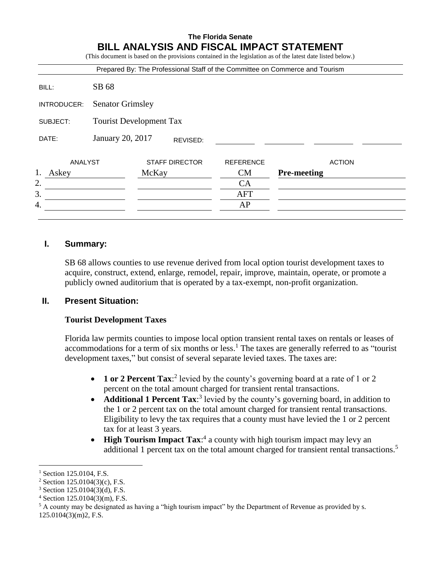## **The Florida Senate BILL ANALYSIS AND FISCAL IMPACT STATEMENT**

(This document is based on the provisions contained in the legislation as of the latest date listed below.) Prepared By: The Professional Staff of the Committee on Commerce and Tourism BILL: SB 68 INTRODUCER: Senator Grimsley SUBJECT: Tourist Development Tax DATE: January 20, 2017 ANALYST STAFF DIRECTOR REFERENCE ACTION 1. Askey McKay CM **Pre-meeting**  $2.$  CA 3. AFT 4. AP REVISED:

# **I. Summary:**

SB 68 allows counties to use revenue derived from local option tourist development taxes to acquire, construct, extend, enlarge, remodel, repair, improve, maintain, operate, or promote a publicly owned auditorium that is operated by a tax-exempt, non-profit organization.

### **II. Present Situation:**

### **Tourist Development Taxes**

Florida law permits counties to impose local option transient rental taxes on rentals or leases of accommodations for a term of six months or less.<sup>1</sup> The taxes are generally referred to as "tourist" development taxes," but consist of several separate levied taxes. The taxes are:

- **1 or 2 Percent Tax:**<sup>2</sup> levied by the county's governing board at a rate of 1 or 2 percent on the total amount charged for transient rental transactions.
- **Additional 1 Percent Tax:**<sup>3</sup> levied by the county's governing board, in addition to the 1 or 2 percent tax on the total amount charged for transient rental transactions. Eligibility to levy the tax requires that a county must have levied the 1 or 2 percent tax for at least 3 years.
- **High Tourism Impact Tax:**<sup>4</sup> a county with high tourism impact may levy an additional 1 percent tax on the total amount charged for transient rental transactions.<sup>5</sup>

 $\overline{a}$ 

Section 125.0104, F.S.

<sup>&</sup>lt;sup>2</sup> Section 125.0104(3)(c), F.S.

<sup>3</sup> Section 125.0104(3)(d), F.S.

<sup>4</sup> Section 125.0104(3)(m), F.S.

 $<sup>5</sup>$  A county may be designated as having a "high tourism impact" by the Department of Revenue as provided by s.</sup>

<sup>125.0104(3)(</sup>m)2, F.S.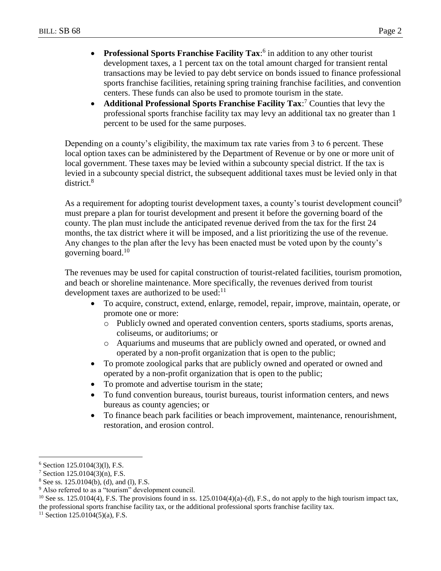- **Professional Sports Franchise Facility Tax:**<sup>6</sup> in addition to any other tourist development taxes, a 1 percent tax on the total amount charged for transient rental transactions may be levied to pay debt service on bonds issued to finance professional sports franchise facilities, retaining spring training franchise facilities, and convention centers. These funds can also be used to promote tourism in the state.
- **Additional Professional Sports Franchise Facility Tax:**<sup>7</sup> Counties that levy the professional sports franchise facility tax may levy an additional tax no greater than 1 percent to be used for the same purposes.

Depending on a county's eligibility, the maximum tax rate varies from 3 to 6 percent. These local option taxes can be administered by the Department of Revenue or by one or more unit of local government. These taxes may be levied within a subcounty special district. If the tax is levied in a subcounty special district, the subsequent additional taxes must be levied only in that district.<sup>8</sup>

As a requirement for adopting tourist development taxes, a county's tourist development council<sup>9</sup> must prepare a plan for tourist development and present it before the governing board of the county. The plan must include the anticipated revenue derived from the tax for the first 24 months, the tax district where it will be imposed, and a list prioritizing the use of the revenue. Any changes to the plan after the levy has been enacted must be voted upon by the county's governing board. $10$ 

The revenues may be used for capital construction of tourist-related facilities, tourism promotion, and beach or shoreline maintenance. More specifically, the revenues derived from tourist development taxes are authorized to be used: $11$ 

- To acquire, construct, extend, enlarge, remodel, repair, improve, maintain, operate, or promote one or more:
	- o Publicly owned and operated convention centers, sports stadiums, sports arenas, coliseums, or auditoriums; or
	- o Aquariums and museums that are publicly owned and operated, or owned and operated by a non-profit organization that is open to the public;
- To promote zoological parks that are publicly owned and operated or owned and operated by a non-profit organization that is open to the public;
- To promote and advertise tourism in the state;
- To fund convention bureaus, tourist bureaus, tourist information centers, and news bureaus as county agencies; or
- To finance beach park facilities or beach improvement, maintenance, renourishment, restoration, and erosion control.

 $\overline{a}$  $6$  Section 125.0104(3)(1), F.S.

<sup>7</sup> Section 125.0104(3)(n), F.S.

<sup>8</sup> See ss. 125.0104(b), (d), and (l), F.S.

<sup>&</sup>lt;sup>9</sup> Also referred to as a "tourism" development council.

<sup>&</sup>lt;sup>10</sup> See ss. 125.0104(4), F.S. The provisions found in ss. 125.0104(4)(a)-(d), F.S., do not apply to the high tourism impact tax, the professional sports franchise facility tax, or the additional professional sports franchise facility tax.

 $11$  Section 125.0104(5)(a), F.S.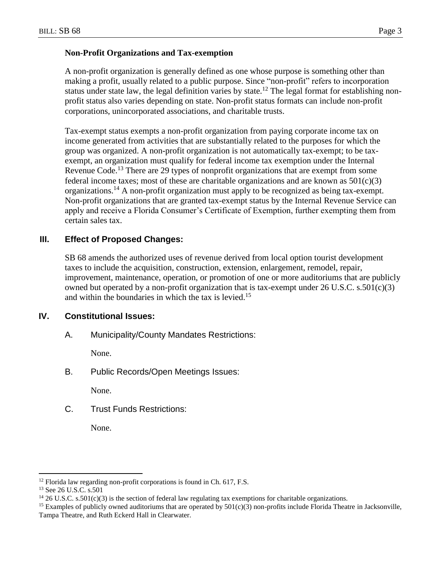### **Non-Profit Organizations and Tax-exemption**

A non-profit organization is generally defined as one whose purpose is something other than making a profit, usually related to a public purpose. Since "non-profit" refers to incorporation status under state law, the legal definition varies by state.<sup>12</sup> The legal format for establishing nonprofit status also varies depending on state. Non-profit status formats can include non-profit corporations, unincorporated associations, and charitable trusts.

Tax-exempt status exempts a non-profit organization from paying corporate income tax on income generated from activities that are substantially related to the purposes for which the group was organized. A non-profit organization is not automatically tax-exempt; to be taxexempt, an organization must qualify for federal income tax exemption under the Internal Revenue Code.<sup>13</sup> There are 29 types of nonprofit organizations that are exempt from some federal income taxes; most of these are charitable organizations and are known as  $501(c)(3)$ organizations.<sup>14</sup> A non-profit organization must apply to be recognized as being tax-exempt. Non-profit organizations that are granted tax-exempt status by the Internal Revenue Service can apply and receive a Florida Consumer's Certificate of Exemption, further exempting them from certain sales tax.

## **III. Effect of Proposed Changes:**

SB 68 amends the authorized uses of revenue derived from local option tourist development taxes to include the acquisition, construction, extension, enlargement, remodel, repair, improvement, maintenance, operation, or promotion of one or more auditoriums that are publicly owned but operated by a non-profit organization that is tax-exempt under 26 U.S.C. s.501(c)(3) and within the boundaries in which the tax is levied.<sup>15</sup>

## **IV. Constitutional Issues:**

A. Municipality/County Mandates Restrictions:

None.

B. Public Records/Open Meetings Issues:

None.

C. Trust Funds Restrictions:

None.

 $\overline{a}$ 

<sup>&</sup>lt;sup>12</sup> Florida law regarding non-profit corporations is found in Ch. 617, F.S.

<sup>&</sup>lt;sup>13</sup> See 26 U.S.C. s.501

<sup>&</sup>lt;sup>14</sup> 26 U.S.C. s.501(c)(3) is the section of federal law regulating tax exemptions for charitable organizations.

<sup>&</sup>lt;sup>15</sup> Examples of publicly owned auditoriums that are operated by  $501(c)(3)$  non-profits include Florida Theatre in Jacksonville, Tampa Theatre, and Ruth Eckerd Hall in Clearwater.